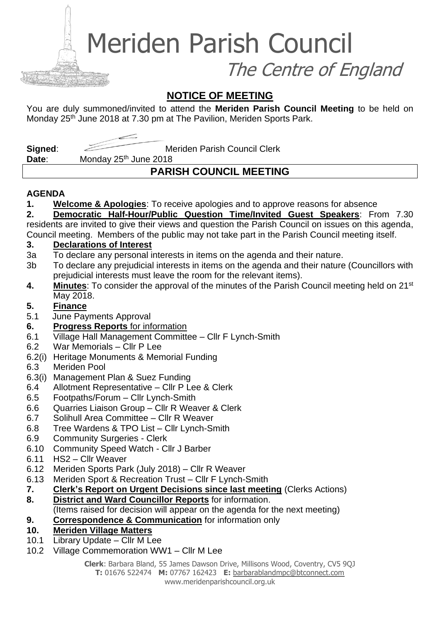Meriden Parish Council

The Centre of England

### **NOTICE OF MEETING**

You are duly summoned/invited to attend the **Meriden Parish Council Meeting** to be held on Monday 25<sup>th</sup> June 2018 at 7.30 pm at The Pavilion, Meriden Sports Park.

**Signed:** Meriden Parish Council Clerk

Date: Monday 25<sup>th</sup> June 2018

## **PARISH COUNCIL MEETING**

### **AGENDA**

**1. Welcome & Apologies**: To receive apologies and to approve reasons for absence

**2. Democratic Half-Hour/Public Question Time/Invited Guest Speakers**: From 7.30 residents are invited to give their views and question the Parish Council on issues on this agenda,

Council meeting. Members of the public may not take part in the Parish Council meeting itself.

### **3. Declarations of Interest**

- 3a To declare any personal interests in items on the agenda and their nature.
- 3b To declare any prejudicial interests in items on the agenda and their nature (Councillors with prejudicial interests must leave the room for the relevant items).
- **4. Minutes**: To consider the approval of the minutes of the Parish Council meeting held on 21st May 2018.

### **5. Finance**

- 5.1 June Payments Approval
- **6. Progress Reports** for information
- 6.1 Village Hall Management Committee Cllr F Lynch-Smith
- 6.2 War Memorials Cllr P Lee
- 6.2(i) Heritage Monuments & Memorial Funding
- 6.3 Meriden Pool
- 6.3(i) Management Plan & Suez Funding
- 6.4 Allotment Representative Cllr P Lee & Clerk
- 6.5 Footpaths/Forum Cllr Lynch-Smith
- 6.6 Quarries Liaison Group Cllr R Weaver & Clerk
- 6.7 Solihull Area Committee Cllr R Weaver
- 6.8 Tree Wardens & TPO List Cllr Lynch-Smith
- 6.9 Community Surgeries Clerk
- 6.10 Community Speed Watch Cllr J Barber
- 6.11 HS2 Cllr Weaver
- 6.12 Meriden Sports Park (July 2018) Cllr R Weaver
- 6.13 Meriden Sport & Recreation Trust Cllr F Lynch-Smith
- **7. Clerk's Report on Urgent Decisions since last meeting** (Clerks Actions)
- **8. District and Ward Councillor Reports** for information.
	- (Items raised for decision will appear on the agenda for the next meeting)
- **9. Correspondence & Communication** for information only

### **10. Meriden Village Matters**

- 10.1 Library Update Cllr M Lee
- 10.2 Village Commemoration WW1 Cllr M Lee